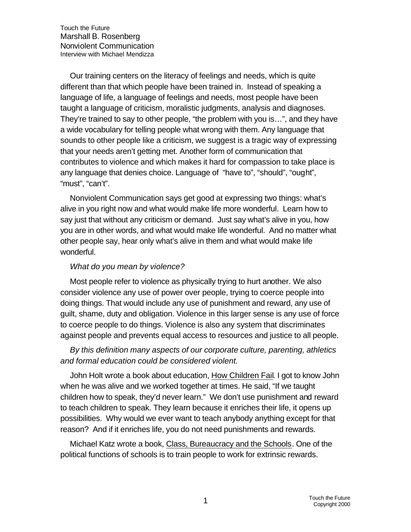Our training centers on the literacy of feelings and needs, which is quite different than that which people have been trained in. Instead of speaking a language of life, a language of feelings and needs, most people have been taught a language of criticism, moralistic judgments, analysis and diagnoses. They're trained to say to other people, "the problem with you is…", and they have a wide vocabulary for telling people what wrong with them. Any language that sounds to other people like a criticism, we suggest is a tragic way of expressing that your needs aren't getting met. Another form of communication that contributes to violence and which makes it hard for compassion to take place is any language that denies choice. Language of "have to", "should", "ought", "must", "can't".

Nonviolent Communication says get good at expressing two things: what's alive in you right now and what would make life more wonderful. Learn how to say just that without any criticism or demand. Just say what's alive in you, how you are in other words, and what would make life wonderful. And no matter what other people say, hear only what's alive in them and what would make life wonderful.

#### *What do you mean by violence?*

Most people refer to violence as physically trying to hurt another. We also consider violence any use of power over people, trying to coerce people into doing things. That would include any use of punishment and reward, any use of guilt, shame, duty and obligation. Violence in this larger sense is any use of force to coerce people to do things. Violence is also any system that discriminates against people and prevents equal access to resources and justice to all people.

### *By this definition many aspects of our corporate culture, parenting, athletics and formal education could be considered violent.*

John Holt wrote a book about education, How Children Fail. I got to know John when he was alive and we worked together at times. He said, "If we taught children how to speak, they'd never learn." We don't use punishment and reward to teach children to speak. They learn because it enriches their life, it opens up possibilities. Why would we ever want to teach anybody anything except for that reason? And if it enriches life, you do not need punishments and rewards.

Michael Katz wrote a book, Class, Bureaucracy and the Schools. One of the political functions of schools is to train people to work for extrinsic rewards.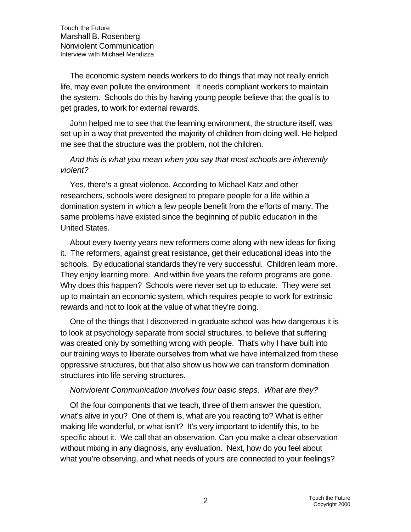The economic system needs workers to do things that may not really enrich life, may even pollute the environment. It needs compliant workers to maintain the system. Schools do this by having young people believe that the goal is to get grades, to work for external rewards.

John helped me to see that the learning environment, the structure itself, was set up in a way that prevented the majority of children from doing well. He helped me see that the structure was the problem, not the children.

### *And this is what you mean when you say that most schools are inherently violent?*

Yes, there's a great violence. According to Michael Katz and other researchers, schools were designed to prepare people for a life within a domination system in which a few people benefit from the efforts of many. The same problems have existed since the beginning of public education in the United States.

About every twenty years new reformers come along with new ideas for fixing it. The reformers, against great resistance, get their educational ideas into the schools. By educational standards they're very successful. Children learn more. They enjoy learning more. And within five years the reform programs are gone. Why does this happen? Schools were never set up to educate. They were set up to maintain an economic system, which requires people to work for extrinsic rewards and not to look at the value of what they're doing.

One of the things that I discovered in graduate school was how dangerous it is to look at psychology separate from social structures, to believe that suffering was created only by something wrong with people. That's why I have built into our training ways to liberate ourselves from what we have internalized from these oppressive structures, but that also show us how we can transform domination structures into life serving structures.

#### *Nonviolent Communication involves four basic steps. What are they?*

Of the four components that we teach, three of them answer the question, what's alive in you? One of them is, what are you reacting to? What is either making life wonderful, or what isn't? It's very important to identify this, to be specific about it. We call that an observation. Can you make a clear observation without mixing in any diagnosis, any evaluation. Next, how do you feel about what you're observing, and what needs of yours are connected to your feelings?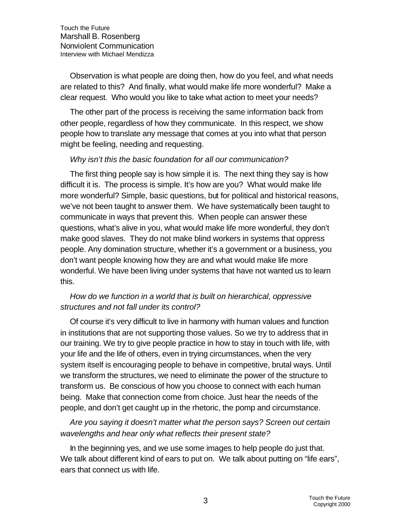Observation is what people are doing then, how do you feel, and what needs are related to this? And finally, what would make life more wonderful? Make a clear request. Who would you like to take what action to meet your needs?

The other part of the process is receiving the same information back from other people, regardless of how they communicate. In this respect, we show people how to translate any message that comes at you into what that person might be feeling, needing and requesting.

#### *Why isn't this the basic foundation for all our communication?*

The first thing people say is how simple it is. The next thing they say is how difficult it is. The process is simple. It's how are you? What would make life more wonderful? Simple, basic questions, but for political and historical reasons, we've not been taught to answer them. We have systematically been taught to communicate in ways that prevent this. When people can answer these questions, what's alive in you, what would make life more wonderful, they don't make good slaves. They do not make blind workers in systems that oppress people. Any domination structure, whether it's a government or a business, you don't want people knowing how they are and what would make life more wonderful. We have been living under systems that have not wanted us to learn this.

### *How do we function in a world that is built on hierarchical, oppressive structures and not fall under its control?*

Of course it's very difficult to live in harmony with human values and function in institutions that are not supporting those values. So we try to address that in our training. We try to give people practice in how to stay in touch with life, with your life and the life of others, even in trying circumstances, when the very system itself is encouraging people to behave in competitive, brutal ways. Until we transform the structures, we need to eliminate the power of the structure to transform us. Be conscious of how you choose to connect with each human being. Make that connection come from choice. Just hear the needs of the people, and don't get caught up in the rhetoric, the pomp and circumstance.

# *Are you saying it doesn't matter what the person says? Screen out certain wavelengths and hear only what reflects their present state?*

In the beginning yes, and we use some images to help people do just that. We talk about different kind of ears to put on. We talk about putting on "life ears", ears that connect us with life.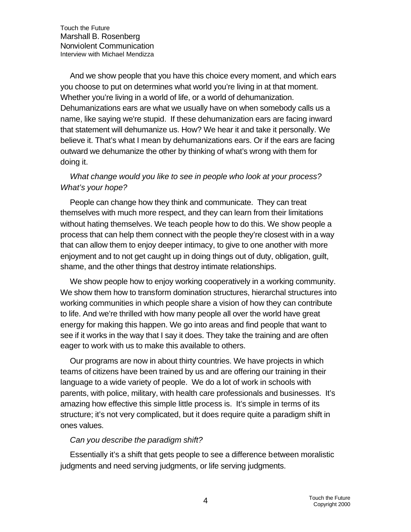And we show people that you have this choice every moment, and which ears you choose to put on determines what world you're living in at that moment. Whether you're living in a world of life, or a world of dehumanization. Dehumanizations ears are what we usually have on when somebody calls us a name, like saying we're stupid. If these dehumanization ears are facing inward that statement will dehumanize us. How? We hear it and take it personally. We believe it. That's what I mean by dehumanizations ears. Or if the ears are facing outward we dehumanize the other by thinking of what's wrong with them for doing it.

# *What change would you like to see in people who look at your process? What's your hope?*

People can change how they think and communicate. They can treat themselves with much more respect, and they can learn from their limitations without hating themselves. We teach people how to do this. We show people a process that can help them connect with the people they're closest with in a way that can allow them to enjoy deeper intimacy, to give to one another with more enjoyment and to not get caught up in doing things out of duty, obligation, guilt, shame, and the other things that destroy intimate relationships.

We show people how to enjoy working cooperatively in a working community. We show them how to transform domination structures, hierarchal structures into working communities in which people share a vision of how they can contribute to life. And we're thrilled with how many people all over the world have great energy for making this happen. We go into areas and find people that want to see if it works in the way that I say it does. They take the training and are often eager to work with us to make this available to others.

Our programs are now in about thirty countries. We have projects in which teams of citizens have been trained by us and are offering our training in their language to a wide variety of people. We do a lot of work in schools with parents, with police, military, with health care professionals and businesses. It's amazing how effective this simple little process is. It's simple in terms of its structure; it's not very complicated, but it does require quite a paradigm shift in ones values.

#### *Can you describe the paradigm shift?*

Essentially it's a shift that gets people to see a difference between moralistic judgments and need serving judgments, or life serving judgments.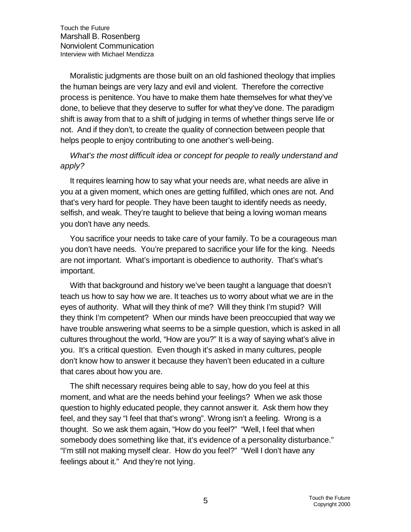Moralistic judgments are those built on an old fashioned theology that implies the human beings are very lazy and evil and violent. Therefore the corrective process is penitence. You have to make them hate themselves for what they've done, to believe that they deserve to suffer for what they've done. The paradigm shift is away from that to a shift of judging in terms of whether things serve life or not. And if they don't, to create the quality of connection between people that helps people to enjoy contributing to one another's well-being.

# *What's the most difficult idea or concept for people to really understand and apply?*

It requires learning how to say what your needs are, what needs are alive in you at a given moment, which ones are getting fulfilled, which ones are not. And that's very hard for people. They have been taught to identify needs as needy, selfish, and weak. They're taught to believe that being a loving woman means you don't have any needs.

You sacrifice your needs to take care of your family. To be a courageous man you don't have needs. You're prepared to sacrifice your life for the king. Needs are not important. What's important is obedience to authority. That's what's important.

With that background and history we've been taught a language that doesn't teach us how to say how we are. It teaches us to worry about what we are in the eyes of authority. What will they think of me? Will they think I'm stupid? Will they think I'm competent? When our minds have been preoccupied that way we have trouble answering what seems to be a simple question, which is asked in all cultures throughout the world, "How are you?" It is a way of saying what's alive in you. It's a critical question. Even though it's asked in many cultures, people don't know how to answer it because they haven't been educated in a culture that cares about how you are.

The shift necessary requires being able to say, how do you feel at this moment, and what are the needs behind your feelings? When we ask those question to highly educated people, they cannot answer it. Ask them how they feel, and they say "I feel that that's wrong". Wrong isn't a feeling. Wrong is a thought. So we ask them again, "How do you feel?" "Well, I feel that when somebody does something like that, it's evidence of a personality disturbance." "I'm still not making myself clear. How do you feel?" "Well I don't have any feelings about it." And they're not lying.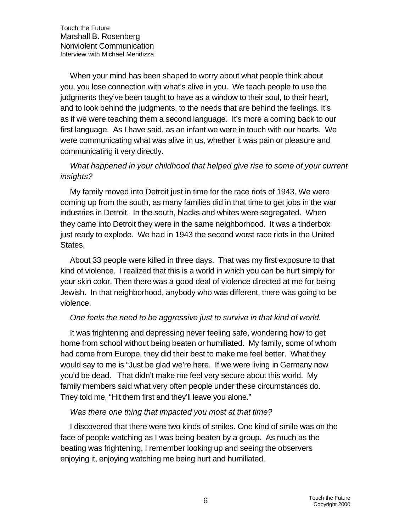When your mind has been shaped to worry about what people think about you, you lose connection with what's alive in you. We teach people to use the judgments they've been taught to have as a window to their soul, to their heart, and to look behind the judgments, to the needs that are behind the feelings. It's as if we were teaching them a second language. It's more a coming back to our first language. As I have said, as an infant we were in touch with our hearts. We were communicating what was alive in us, whether it was pain or pleasure and communicating it very directly.

## *What happened in your childhood that helped give rise to some of your current insights?*

My family moved into Detroit just in time for the race riots of 1943. We were coming up from the south, as many families did in that time to get jobs in the war industries in Detroit. In the south, blacks and whites were segregated. When they came into Detroit they were in the same neighborhood. It was a tinderbox just ready to explode. We had in 1943 the second worst race riots in the United States.

About 33 people were killed in three days. That was my first exposure to that kind of violence. I realized that this is a world in which you can be hurt simply for your skin color. Then there was a good deal of violence directed at me for being Jewish. In that neighborhood, anybody who was different, there was going to be violence.

### *One feels the need to be aggressive just to survive in that kind of world.*

It was frightening and depressing never feeling safe, wondering how to get home from school without being beaten or humiliated. My family, some of whom had come from Europe, they did their best to make me feel better. What they would say to me is "Just be glad we're here. If we were living in Germany now you'd be dead. That didn't make me feel very secure about this world. My family members said what very often people under these circumstances do. They told me, "Hit them first and they'll leave you alone."

#### *Was there one thing that impacted you most at that time?*

I discovered that there were two kinds of smiles. One kind of smile was on the face of people watching as I was being beaten by a group. As much as the beating was frightening, I remember looking up and seeing the observers enjoying it, enjoying watching me being hurt and humiliated.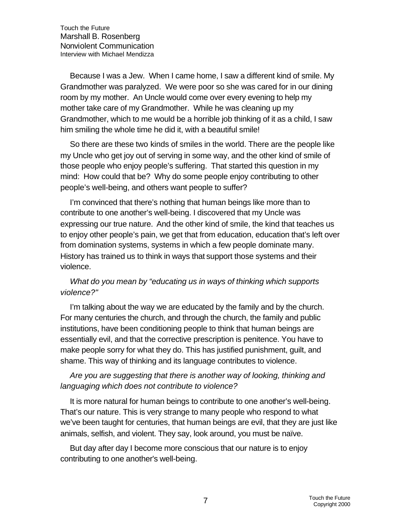Because I was a Jew. When I came home, I saw a different kind of smile. My Grandmother was paralyzed. We were poor so she was cared for in our dining room by my mother. An Uncle would come over every evening to help my mother take care of my Grandmother. While he was cleaning up my Grandmother, which to me would be a horrible job thinking of it as a child, I saw him smiling the whole time he did it, with a beautiful smile!

So there are these two kinds of smiles in the world. There are the people like my Uncle who get joy out of serving in some way, and the other kind of smile of those people who enjoy people's suffering. That started this question in my mind: How could that be? Why do some people enjoy contributing to other people's well-being, and others want people to suffer?

I'm convinced that there's nothing that human beings like more than to contribute to one another's well-being. I discovered that my Uncle was expressing our true nature. And the other kind of smile, the kind that teaches us to enjoy other people's pain, we get that from education, education that's left over from domination systems, systems in which a few people dominate many. History has trained us to think in ways that support those systems and their violence.

## *What do you mean by "educating us in ways of thinking which supports violence?"*

I'm talking about the way we are educated by the family and by the church. For many centuries the church, and through the church, the family and public institutions, have been conditioning people to think that human beings are essentially evil, and that the corrective prescription is penitence. You have to make people sorry for what they do. This has justified punishment, guilt, and shame. This way of thinking and its language contributes to violence.

## *Are you are suggesting that there is another way of looking, thinking and languaging which does not contribute to violence?*

It is more natural for human beings to contribute to one another's well-being. That's our nature. This is very strange to many people who respond to what we've been taught for centuries, that human beings are evil, that they are just like animals, selfish, and violent. They say, look around, you must be naïve.

But day after day I become more conscious that our nature is to enjoy contributing to one another's well-being.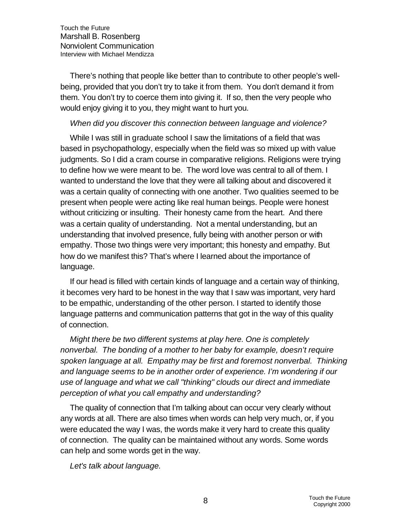There's nothing that people like better than to contribute to other people's wellbeing, provided that you don't try to take it from them. You don't demand it from them. You don't try to coerce them into giving it. If so, then the very people who would enjoy giving it to you, they might want to hurt you.

### *When did you discover this connection between language and violence?*

While I was still in graduate school I saw the limitations of a field that was based in psychopathology, especially when the field was so mixed up with value judgments. So I did a cram course in comparative religions. Religions were trying to define how we were meant to be. The word love was central to all of them. I wanted to understand the love that they were all talking about and discovered it was a certain quality of connecting with one another. Two qualities seemed to be present when people were acting like real human beings. People were honest without criticizing or insulting. Their honesty came from the heart. And there was a certain quality of understanding. Not a mental understanding, but an understanding that involved presence, fully being with another person or with empathy. Those two things were very important; this honesty and empathy. But how do we manifest this? That's where I learned about the importance of language.

If our head is filled with certain kinds of language and a certain way of thinking, it becomes very hard to be honest in the way that I saw was important, very hard to be empathic, understanding of the other person. I started to identify those language patterns and communication patterns that got in the way of this quality of connection.

*Might there be two different systems at play here. One is completely nonverbal. The bonding of a mother to her baby for example, doesn't require spoken language at all. Empathy may be first and foremost nonverbal. Thinking and language seems to be in another order of experience. I'm wondering if our use of language and what we call "thinking" clouds our direct and immediate perception of what you call empathy and understanding?*

The quality of connection that I'm talking about can occur very clearly without any words at all. There are also times when words can help very much, or, if you were educated the way I was, the words make it very hard to create this quality of connection. The quality can be maintained without any words. Some words can help and some words get in the way.

*Let's talk about language.*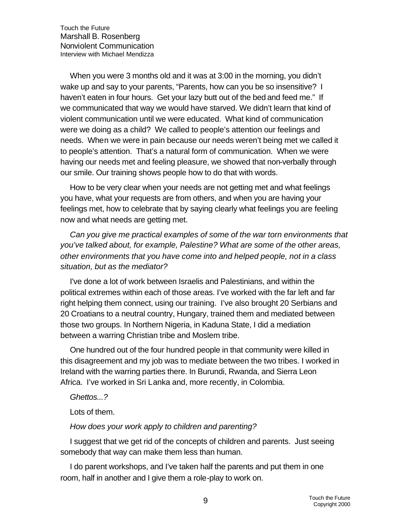When you were 3 months old and it was at 3:00 in the morning, you didn't wake up and say to your parents, "Parents, how can you be so insensitive? I haven't eaten in four hours. Get your lazy butt out of the bed and feed me." If we communicated that way we would have starved. We didn't learn that kind of violent communication until we were educated. What kind of communication were we doing as a child? We called to people's attention our feelings and needs. When we were in pain because our needs weren't being met we called it to people's attention. That's a natural form of communication. When we were having our needs met and feeling pleasure, we showed that non-verbally through our smile. Our training shows people how to do that with words.

How to be very clear when your needs are not getting met and what feelings you have, what your requests are from others, and when you are having your feelings met, how to celebrate that by saying clearly what feelings you are feeling now and what needs are getting met.

*Can you give me practical examples of some of the war torn environments that you've talked about, for example, Palestine? What are some of the other areas, other environments that you have come into and helped people, not in a class situation, but as the mediator?*

I've done a lot of work between Israelis and Palestinians, and within the political extremes within each of those areas. I've worked with the far left and far right helping them connect, using our training. I've also brought 20 Serbians and 20 Croatians to a neutral country, Hungary, trained them and mediated between those two groups. In Northern Nigeria, in Kaduna State, I did a mediation between a warring Christian tribe and Moslem tribe.

One hundred out of the four hundred people in that community were killed in this disagreement and my job was to mediate between the two tribes. I worked in Ireland with the warring parties there. In Burundi, Rwanda, and Sierra Leon Africa. I've worked in Sri Lanka and, more recently, in Colombia.

*Ghettos...?*

Lots of them.

#### *How does your work apply to children and parenting?*

I suggest that we get rid of the concepts of children and parents. Just seeing somebody that way can make them less than human.

I do parent workshops, and I've taken half the parents and put them in one room, half in another and I give them a role-play to work on.